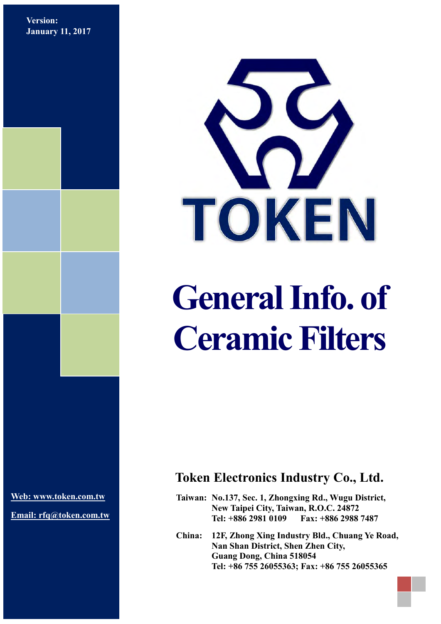**Version: January 11, 2017**



# **General Info. of Ceramic Filters**

**[Web: www.token.com.tw](http://www.token.com.tw/)**

**Email: rfq@token.com.tw**

## **Token Electronics Industry Co., Ltd.**

**Taiwan: No.137, Sec. 1, Zhongxing Rd., Wugu District, New Taipei City, Taiwan, R.O.C. 24872 Tel: +886 2981 0109 Fax: +886 2988 7487**

**China: 12F, Zhong Xing Industry Bld., Chuang Ye Road, Nan Shan District, Shen Zhen City, Guang Dong, China 518054 Tel: +86 755 26055363; Fax: +86 755 26055365**